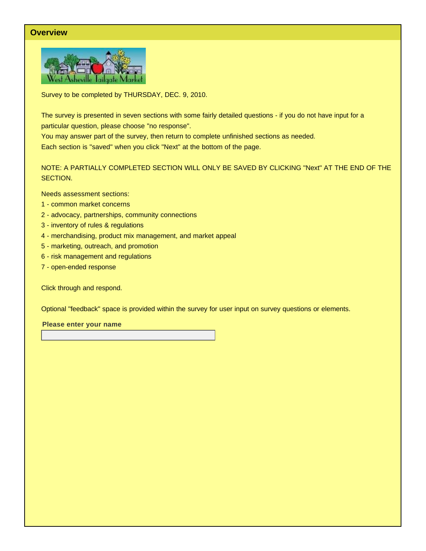# **Overview**



Survey to be completed by THURSDAY, DEC. 9, 2010.

The survey is presented in seven sections with some fairly detailed questions - if you do not have input for a particular question, please choose "no response".

You may answer part of the survey, then return to complete unfinished sections as needed. Each section is "saved" when you click "Next" at the bottom of the page.

NOTE: A PARTIALLY COMPLETED SECTION WILL ONLY BE SAVED BY CLICKING "Next" AT THE END OF THE SECTION.

Needs assessment sections:

- 1 common market concerns
- 2 advocacy, partnerships, community connections
- 3 inventory of rules & regulations
- 4 merchandising, product mix management, and market appeal
- 5 marketing, outreach, and promotion
- 6 risk management and regulations
- 7 open-ended response

Click through and respond.

Optional "feedback" space is provided within the survey for user input on survey questions or elements.

**Please enter your name**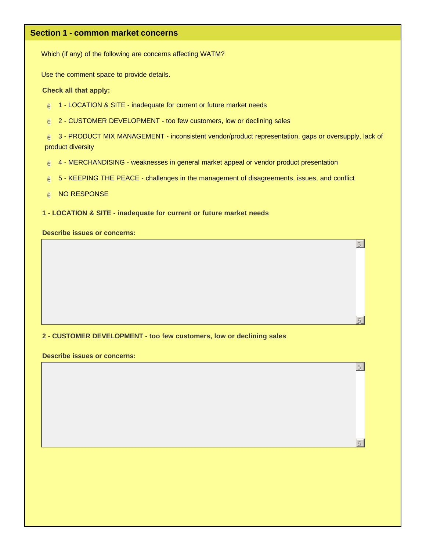# **Section 1 - common market concerns**

Which (if any) of the following are concerns affecting WATM?

Use the comment space to provide details.

**Check all that apply:**

- $\epsilon$  1 LOCATION & SITE inadequate for current or future market needs
- $e$  2 CUSTOMER DEVELOPMENT too few customers, low or declining sales

€ 3 - PRODUCT MIX MANAGEMENT - inconsistent vendor/product representation, gaps or oversupply, lack of product diversity

5

6

5

6

- $e^{\pm}$  4 MERCHANDISING weaknesses in general market appeal or vendor product presentation
- $\epsilon$  5 KEEPING THE PEACE challenges in the management of disagreements, issues, and conflict
- $e$  NO RESPONSE
- **1 LOCATION & SITE inadequate for current or future market needs**

**Describe issues or concerns:**

#### **2 - CUSTOMER DEVELOPMENT - too few customers, low or declining sales**

**Describe issues or concerns:**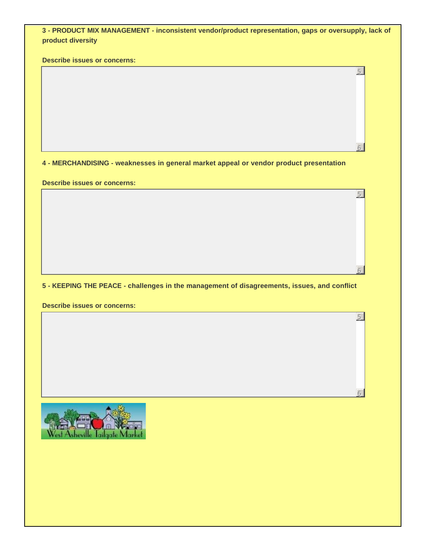| 3 - PRODUCT MIX MANAGEMENT - inconsistent vendor/product representation, gaps or oversupply, lack of |  |
|------------------------------------------------------------------------------------------------------|--|
| product diversity                                                                                    |  |

5

6

5

6

5

6

**Describe issues or concerns:**

**4 - MERCHANDISING - weaknesses in general market appeal or vendor product presentation**

**Describe issues or concerns:**

**5 - KEEPING THE PEACE - challenges in the management of disagreements, issues, and conflict**

**Describe issues or concerns:**

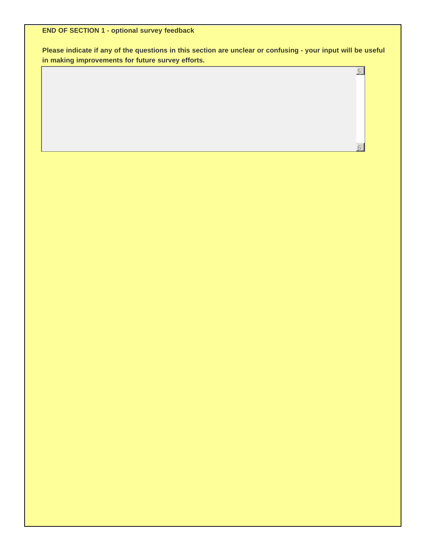**END OF SECTION 1 - optional survey feedback**

**Please indicate if any of the questions in this section are unclear or confusing - your input will be useful in making improvements for future survey efforts.**

5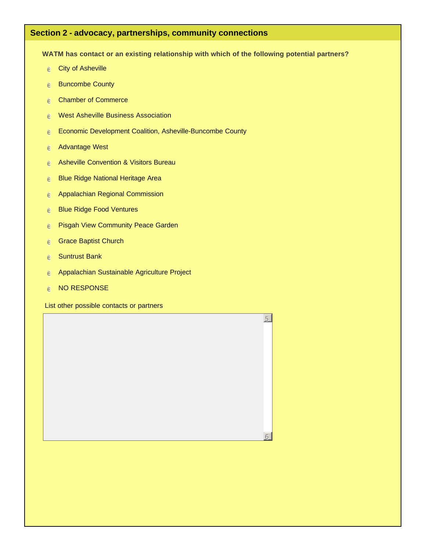# **Section 2 - advocacy, partnerships, community connections**

**WATM has contact or an existing relationship with which of the following potential partners?**

5

6

- $e$  City of Asheville
- $e$  Buncombe County
- $e$  Chamber of Commerce
- e West Asheville Business Association
- $e^+$  Economic Development Coalition, Asheville-Buncombe County
- $e$  Advantage West
- e Asheville Convention & Visitors Bureau
- e Blue Ridge National Heritage Area
- $e$  Appalachian Regional Commission
- e Blue Ridge Food Ventures
- e Pisgah View Community Peace Garden
- $e$  Grace Baptist Church
- $e$  Suntrust Bank
- $e$  Appalachian Sustainable Agriculture Project
- $e$  NO RESPONSE

List other possible contacts or partners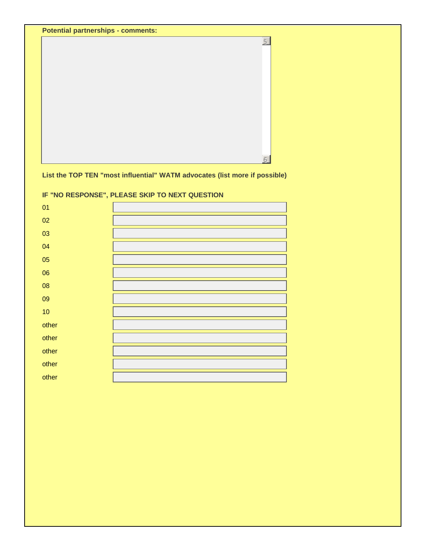|  | <b>Potential partnerships - comments:</b> |  |
|--|-------------------------------------------|--|
|--|-------------------------------------------|--|



**List the TOP TEN "most influential" WATM advocates (list more if possible)**

| 01    |  |
|-------|--|
| 02    |  |
| 03    |  |
| 04    |  |
| 05    |  |
| 06    |  |
| 08    |  |
| 09    |  |
| 10    |  |
| other |  |
| other |  |
| other |  |
| other |  |
| other |  |

**IF "NO RESPONSE", PLEASE SKIP TO NEXT QUESTION**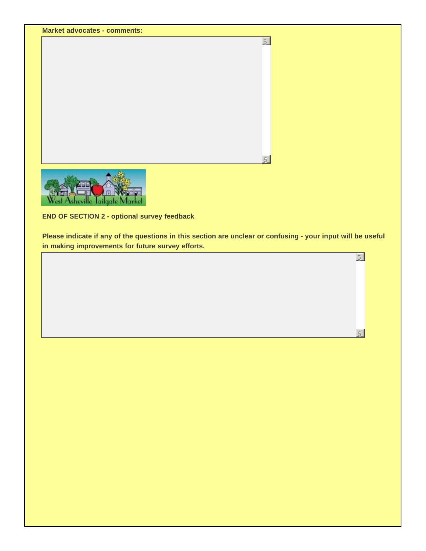



**END OF SECTION 2 - optional survey feedback**

**Please indicate if any of the questions in this section are unclear or confusing - your input will be useful in making improvements for future survey efforts.**

5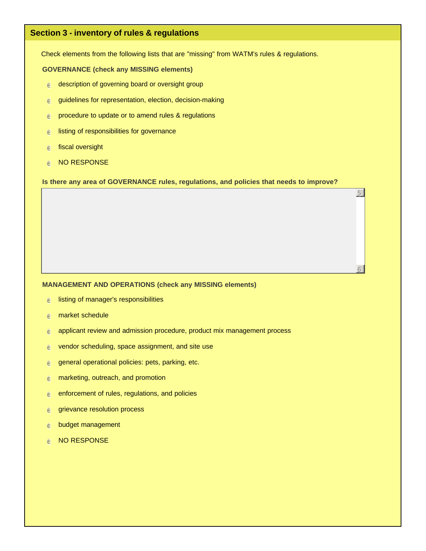# **Section 3 - inventory of rules & regulations**

Check elements from the following lists that are "missing" from WATM's rules & regulations.

#### **GOVERNANCE (check any MISSING elements)**

- $e$  description of governing board or oversight group
- $e$  guidelines for representation, election, decision-making
- $e$  procedure to update or to amend rules & regulations
- $e$  listing of responsibilities for governance
- $e$  fiscal oversight
- $e$  NO RESPONSE

**Is there any area of GOVERNANCE rules, regulations, and policies that needs to improve?**

5

6

#### **MANAGEMENT AND OPERATIONS (check any MISSING elements)**

- $e$  listing of manager's responsibilities
- $e$  market schedule
- $e$  applicant review and admission procedure, product mix management process
- $e$  vendor scheduling, space assignment, and site use
- $e$  general operational policies: pets, parking, etc.
- $e$  marketing, outreach, and promotion
- $e$  enforcement of rules, regulations, and policies
- $e$  grievance resolution process
- $e$  budget management
- $e$  NO RESPONSE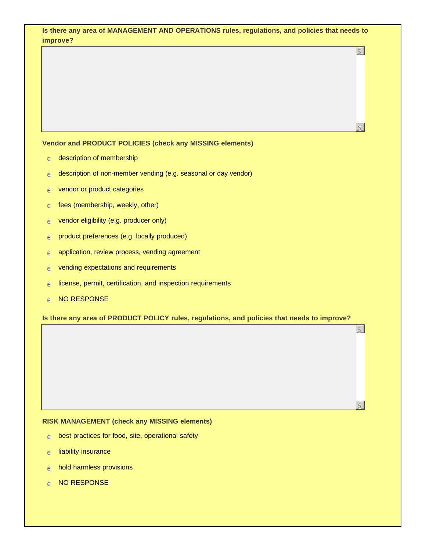|   | Is there any area of MANAGEMENT AND OPERATIONS rules, regulations, and policies that needs to<br>improve? |   |
|---|-----------------------------------------------------------------------------------------------------------|---|
|   |                                                                                                           | 5 |
|   |                                                                                                           |   |
|   |                                                                                                           |   |
|   |                                                                                                           |   |
|   |                                                                                                           |   |
|   |                                                                                                           |   |
|   |                                                                                                           |   |
|   | Vendor and PRODUCT POLICIES (check any MISSING elements)                                                  |   |
| e | description of membership                                                                                 |   |
| e | description of non-member vending (e.g. seasonal or day vendor)                                           |   |
| е | vendor or product categories                                                                              |   |
| e | fees (membership, weekly, other)                                                                          |   |
| е | vendor eligibility (e.g. producer only)                                                                   |   |
| e | product preferences (e.g. locally produced)                                                               |   |
| е | application, review process, vending agreement                                                            |   |
| e | vending expectations and requirements                                                                     |   |
| ℮ | license, permit, certification, and inspection requirements                                               |   |
| ē | <b>NO RESPONSE</b>                                                                                        |   |
|   | Is there any area of PRODUCT POLICY rules, regulations, and policies that needs to improve?               |   |
|   |                                                                                                           | 5 |
|   |                                                                                                           |   |
|   |                                                                                                           |   |
|   |                                                                                                           |   |
|   |                                                                                                           |   |
|   |                                                                                                           |   |
|   |                                                                                                           |   |

- $e$  liability insurance
- $e$  hold harmless provisions
- $e$  NO RESPONSE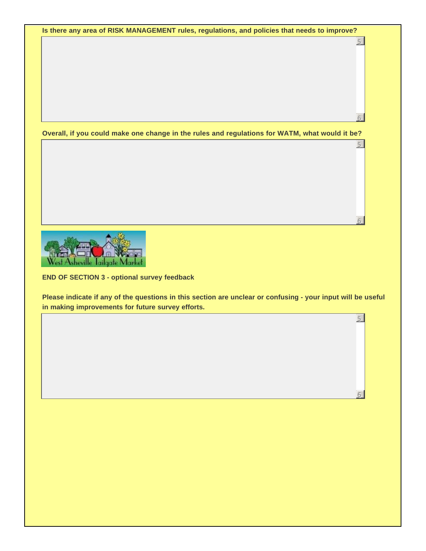**Is there any area of RISK MANAGEMENT rules, regulations, and policies that needs to improve?**

5

6

5

6

5

6

**Overall, if you could make one change in the rules and regulations for WATM, what would it be?**



**END OF SECTION 3 - optional survey feedback**

**Please indicate if any of the questions in this section are unclear or confusing - your input will be useful in making improvements for future survey efforts.**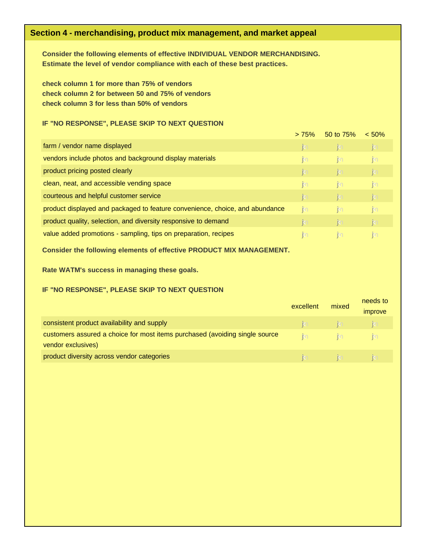# **Section 4 - merchandising, product mix management, and market appeal**

**Consider the following elements of effective INDIVIDUAL VENDOR MERCHANDISING. Estimate the level of vendor compliance with each of these best practices.** 

**check column 1 for more than 75% of vendors check column 2 for between 50 and 75% of vendors check column 3 for less than 50% of vendors**

## **IF "NO RESPONSE", PLEASE SKIP TO NEXT QUESTION**

|                                                                              | > 75%        | 50 to 75%    | < 50%        |  |
|------------------------------------------------------------------------------|--------------|--------------|--------------|--|
| farm / vendor name displayed                                                 | <b>i</b> g   | <b>i</b> g   | $\mathbf{N}$ |  |
| vendors include photos and background display materials                      | <b>k</b>     | <b>k</b>     | $\mathsf{K}$ |  |
| product pricing posted clearly                                               | <b>i</b> g   | <b>i</b> g   | <b>k</b>     |  |
| clean, neat, and accessible vending space                                    | <b>k</b>     | <b>k</b>     | $\mathsf{K}$ |  |
| courteous and helpful customer service                                       | <b>i</b> g   | <b>i</b> g   | <b>k</b>     |  |
| product displayed and packaged to feature convenience, choice, and abundance | <b>k</b>     | <b>k</b>     | $\mathsf{K}$ |  |
| product quality, selection, and diversity responsive to demand               | <b>k</b>     | <b>i</b> g   | <b>i</b> g   |  |
| value added promotions - sampling, tips on preparation, recipes              | $\mathsf{K}$ | $\mathsf{K}$ | $\mathsf{K}$ |  |
|                                                                              |              |              |              |  |

#### **Consider the following elements of effective PRODUCT MIX MANAGEMENT.**

**Rate WATM's success in managing these goals.**

## **IF "NO RESPONSE", PLEASE SKIP TO NEXT QUESTION**

|                                                                             | excellent    | mixed          | needs to<br><i>improve</i> |
|-----------------------------------------------------------------------------|--------------|----------------|----------------------------|
| consistent product availability and supply                                  | $\mathsf{K}$ | $\mathbf{N}$   |                            |
| customers assured a choice for most items purchased (avoiding single source | $\mathsf{K}$ | im.            |                            |
| vendor exclusives)                                                          |              |                |                            |
| product diversity across vendor categories                                  | $\mathsf{K}$ | $\blacksquare$ |                            |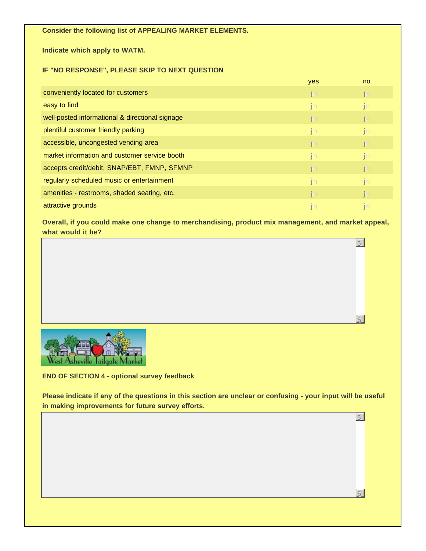## **Consider the following list of APPEALING MARKET ELEMENTS.**

**Indicate which apply to WATM.** 

## **IF "NO RESPONSE", PLEASE SKIP TO NEXT QUESTION**

|                                                 | yes          | <sub>no</sub> |
|-------------------------------------------------|--------------|---------------|
| conveniently located for customers              | $\mathbf{N}$ | <b>k</b>      |
| easy to find                                    | $\mathsf{m}$ | <b>k</b>      |
| well-posted informational & directional signage | $\mathbf{N}$ | <b>i</b> s    |
| plentiful customer friendly parking             | $\mathsf{m}$ | <b>i</b> so   |
| accessible, uncongested vending area            | $\mathbf{N}$ | <b>k</b>      |
| market information and customer service booth   | $\mathsf{K}$ | <b>i</b> so   |
| accepts credit/debit, SNAP/EBT, FMNP, SFMNP     | $\mathbf{N}$ | <b>k</b>      |
| regularly scheduled music or entertainment      | $\mathsf{K}$ | <b>i</b> so   |
| amenities - restrooms, shaded seating, etc.     | $\mathbf{N}$ | <b>i</b> s    |
| attractive grounds                              | m            | <b>k</b>      |

**Overall, if you could make one change to merchandising, product mix management, and market appeal, what would it be?**

5

6

5

6



**END OF SECTION 4 - optional survey feedback**

**Please indicate if any of the questions in this section are unclear or confusing - your input will be useful in making improvements for future survey efforts.**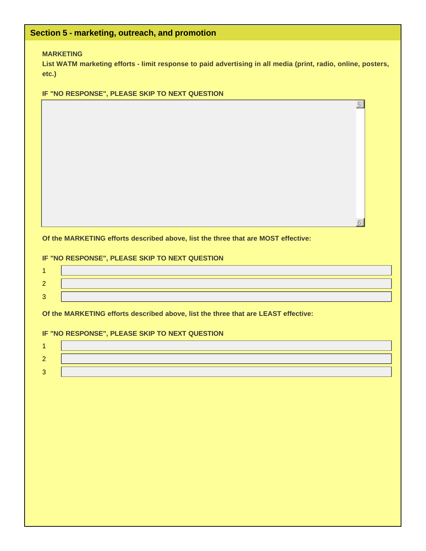| etc.)          | <b>MARKETING</b><br>List WATM marketing efforts - limit response to paid advertising in all media (print, radio, online, posters, |
|----------------|-----------------------------------------------------------------------------------------------------------------------------------|
|                | IF "NO RESPONSE", PLEASE SKIP TO NEXT QUESTION                                                                                    |
|                | $\overline{5}$                                                                                                                    |
|                |                                                                                                                                   |
|                | Of the MARKETING efforts described above, list the three that are MOST effective:                                                 |
|                | IF "NO RESPONSE", PLEASE SKIP TO NEXT QUESTION                                                                                    |
| $\overline{1}$ |                                                                                                                                   |
| $\overline{2}$ |                                                                                                                                   |
| $\overline{3}$ |                                                                                                                                   |
|                |                                                                                                                                   |
|                | Of the MARKETING efforts described above, list the three that are LEAST effective:                                                |
|                | IF "NO RESPONSE", PLEASE SKIP TO NEXT QUESTION                                                                                    |
| 1              |                                                                                                                                   |
| $\overline{2}$ |                                                                                                                                   |
| 3              |                                                                                                                                   |
|                |                                                                                                                                   |
|                |                                                                                                                                   |
|                |                                                                                                                                   |
|                |                                                                                                                                   |
|                |                                                                                                                                   |
|                |                                                                                                                                   |
|                |                                                                                                                                   |
|                |                                                                                                                                   |
|                |                                                                                                                                   |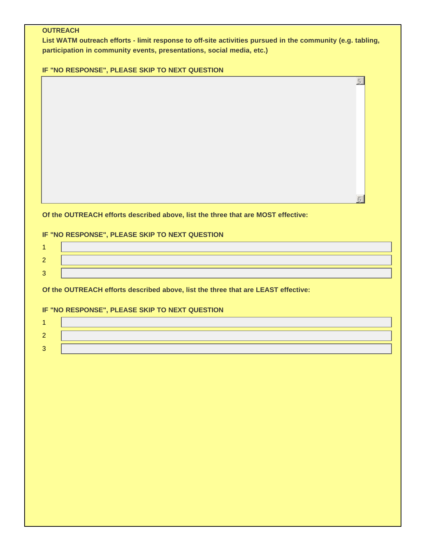## **OUTREACH**

**List WATM outreach efforts - limit response to off-site activities pursued in the community (e.g. tabling, participation in community events, presentations, social media, etc.)**

5

 $6<sup>1</sup>$ 

**IF "NO RESPONSE", PLEASE SKIP TO NEXT QUESTION**

**Of the OUTREACH efforts described above, list the three that are MOST effective:**

# **IF "NO RESPONSE", PLEASE SKIP TO NEXT QUESTION**

**Of the OUTREACH efforts described above, list the three that are LEAST effective:**

# **IF "NO RESPONSE", PLEASE SKIP TO NEXT QUESTION**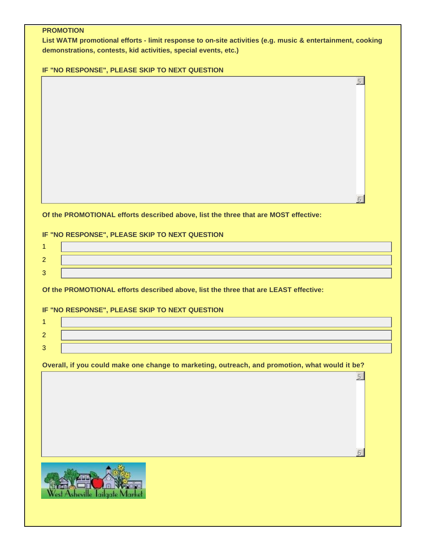## **PROMOTION**

**List WATM promotional efforts - limit response to on-site activities (e.g. music & entertainment, cooking demonstrations, contests, kid activities, special events, etc.)**

5

 $6<sup>1</sup>$ 

5

6

**IF "NO RESPONSE", PLEASE SKIP TO NEXT QUESTION**

**Of the PROMOTIONAL efforts described above, list the three that are MOST effective:**

# **IF "NO RESPONSE", PLEASE SKIP TO NEXT QUESTION**

**Of the PROMOTIONAL efforts described above, list the three that are LEAST effective:**

# **IF "NO RESPONSE", PLEASE SKIP TO NEXT QUESTION**

**Overall, if you could make one change to marketing, outreach, and promotion, what would it be?**

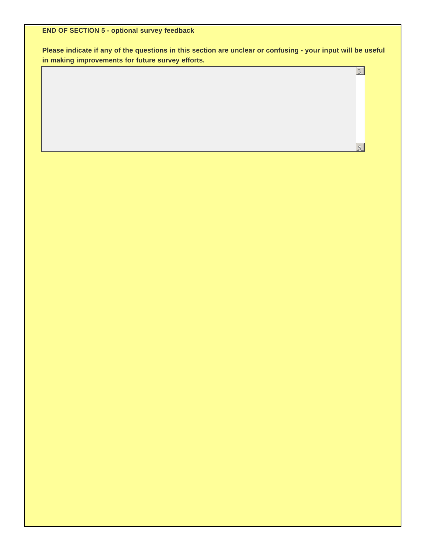**END OF SECTION 5 - optional survey feedback**

**Please indicate if any of the questions in this section are unclear or confusing - your input will be useful in making improvements for future survey efforts.**

5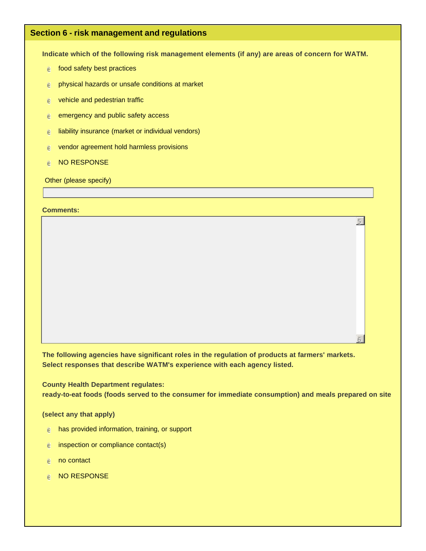# **Section 6 - risk management and regulations**

**Indicate which of the following risk management elements (if any) are areas of concern for WATM.**

- $e$  food safety best practices
- $e$  physical hazards or unsafe conditions at market
- $e$  vehicle and pedestrian traffic
- $e$  emergency and public safety access
- $e$  liability insurance (market or individual vendors)
- $e$  vendor agreement hold harmless provisions
- **e** NO RESPONSE

Other (please specify)

#### **Comments:**

**The following agencies have significant roles in the regulation of products at farmers' markets. Select responses that describe WATM's experience with each agency listed.**

**County Health Department regulates:**

**ready-to-eat foods (foods served to the consumer for immediate consumption) and meals prepared on site**

5

6

#### **(select any that apply)**

- $e$  has provided information, training, or support
- $e$  inspection or compliance contact(s)
- $e$  no contact
- $e$  NO RESPONSE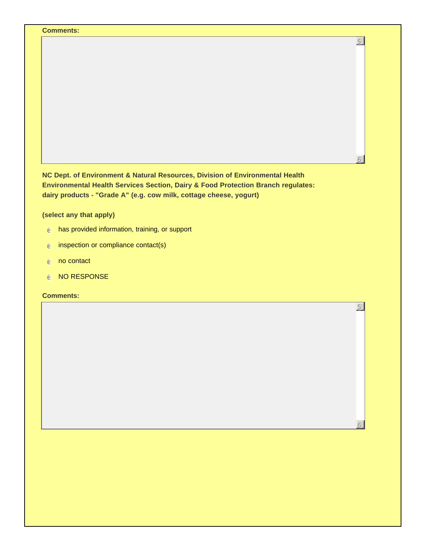| <b>Comments:</b>                                                                                                                                                                                                                        |                |
|-----------------------------------------------------------------------------------------------------------------------------------------------------------------------------------------------------------------------------------------|----------------|
|                                                                                                                                                                                                                                         | $\overline{5}$ |
|                                                                                                                                                                                                                                         |                |
| NC Dept. of Environment & Natural Resources, Division of Environmental Health<br>Environmental Health Services Section, Dairy & Food Protection Branch regulates:<br>dairy products - "Grade A" (e.g. cow milk, cottage cheese, yogurt) |                |
| (select any that apply)                                                                                                                                                                                                                 |                |
| has provided information, training, or support<br>ê.                                                                                                                                                                                    |                |
| inspection or compliance contact(s)<br>ê                                                                                                                                                                                                |                |
| no contact<br>e                                                                                                                                                                                                                         |                |
| <b>NO RESPONSE</b><br>ê                                                                                                                                                                                                                 |                |
| <b>Comments:</b>                                                                                                                                                                                                                        |                |
|                                                                                                                                                                                                                                         | 5              |
|                                                                                                                                                                                                                                         |                |
|                                                                                                                                                                                                                                         |                |
|                                                                                                                                                                                                                                         |                |
|                                                                                                                                                                                                                                         |                |
|                                                                                                                                                                                                                                         |                |
|                                                                                                                                                                                                                                         |                |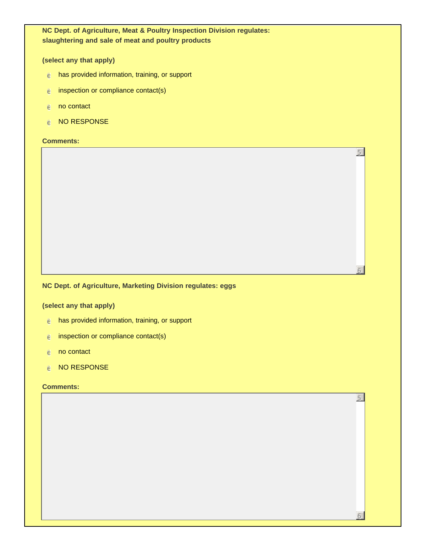**NC Dept. of Agriculture, Meat & Poultry Inspection Division regulates: slaughtering and sale of meat and poultry products**

5

6

5

6

#### **(select any that apply)**

- $e$  has provided information, training, or support
- $e$  inspection or compliance contact(s)
- $e$  no contact
- $e$  NO RESPONSE

#### **Comments:**

## **NC Dept. of Agriculture, Marketing Division regulates: eggs**

#### **(select any that apply)**

- $e$  has provided information, training, or support
- $e$  inspection or compliance contact(s)
- $e$  no contact
- $e$  NO RESPONSE

#### **Comments:**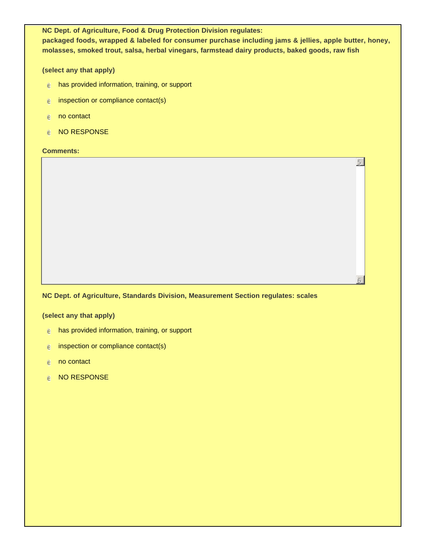**NC Dept. of Agriculture, Food & Drug Protection Division regulates: packaged foods, wrapped & labeled for consumer purchase including jams & jellies, apple butter, honey, molasses, smoked trout, salsa, herbal vinegars, farmstead dairy products, baked goods, raw fish**

5

6

**(select any that apply)**

- $e$  has provided information, training, or support
- $e$  inspection or compliance contact(s)
- $e$  no contact
- $e$  NO RESPONSE

**Comments:**

#### **NC Dept. of Agriculture, Standards Division, Measurement Section regulates: scales**

#### **(select any that apply)**

- $e$  has provided information, training, or support
- $e$  inspection or compliance contact(s)
- $e$  no contact
- $e$  NO RESPONSE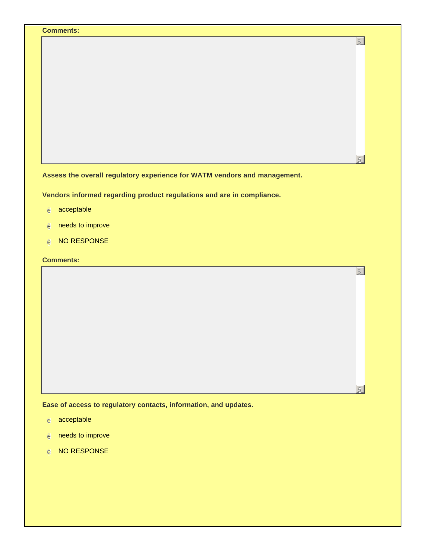|                                                                                                                            |  | 5 |
|----------------------------------------------------------------------------------------------------------------------------|--|---|
|                                                                                                                            |  |   |
|                                                                                                                            |  |   |
|                                                                                                                            |  |   |
|                                                                                                                            |  |   |
|                                                                                                                            |  |   |
|                                                                                                                            |  |   |
|                                                                                                                            |  |   |
|                                                                                                                            |  |   |
|                                                                                                                            |  |   |
|                                                                                                                            |  |   |
| Assess the overall regulatory experience for WATM vendors and management.                                                  |  |   |
|                                                                                                                            |  |   |
|                                                                                                                            |  |   |
| acceptable                                                                                                                 |  |   |
| needs to improve                                                                                                           |  |   |
| NO RESPONSE                                                                                                                |  |   |
|                                                                                                                            |  |   |
|                                                                                                                            |  | 5 |
|                                                                                                                            |  |   |
| Vendors informed regarding product regulations and are in compliance.<br>$\epsilon$<br>e<br>$\epsilon$<br><b>Comments:</b> |  |   |

 $6<sup>1</sup>$ 

**Ease of access to regulatory contacts, information, and updates.**

- $e$  acceptable
- $e$  needs to improve
- $e$  NO RESPONSE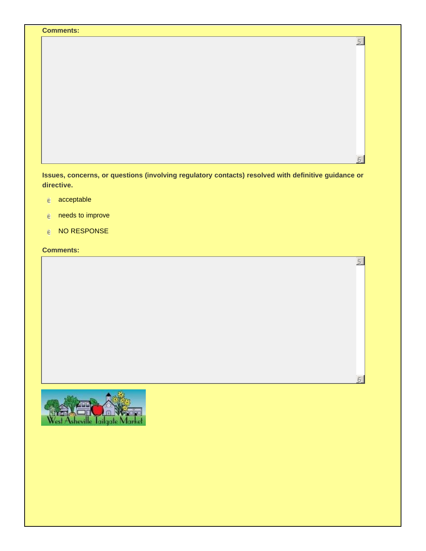|  | 5 |
|--|---|
|  |   |
|  |   |
|  |   |
|  |   |
|  |   |
|  |   |
|  |   |
|  |   |
|  |   |
|  |   |
|  |   |
|  |   |
|  |   |
|  |   |
|  |   |
|  |   |

5

6

- $e$  acceptable
- $e$  needs to improve
- $e$  NO RESPONSE

**Comments:**

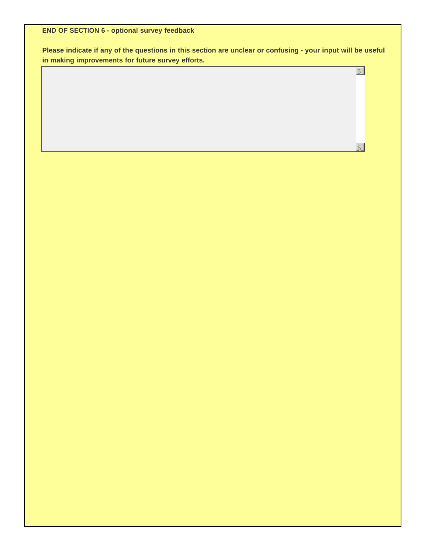**END OF SECTION 6 - optional survey feedback**

**Please indicate if any of the questions in this section are unclear or confusing - your input will be useful in making improvements for future survey efforts.**

5